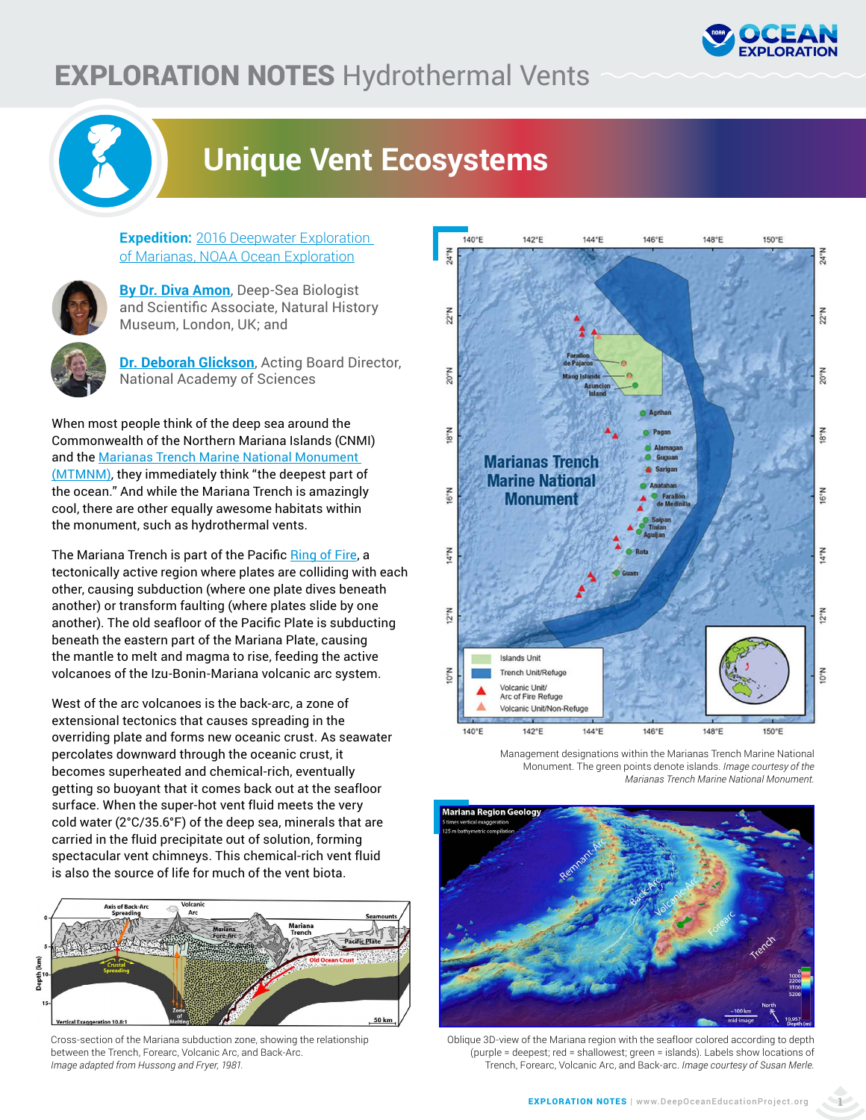

## EXPLORATION NOTES Hydrothermal Vents



## **Unique Vent Ecosystems**

**Expedition:** 2016 Deepwater Exploration [of Marianas, NOAA Ocea](https://oceanexplorer.noaa.gov/okeanos/explorations/ex1605/welcome.html)n Exploration



**[By Dr. Diva Amon](https://oceanexplorer.noaa.gov/okeanos/explorations/ex1605/background/explorers/explorers.html)**, Deep-Sea Biologist and Scientific Associate, Natural History Museum, London, UK; and

**[Dr. Deborah Glickson](https://oceanexplorer.noaa.gov/okeanos/explorations/ex1605/background/explorers/explorers.html)**, Acting Board Director, National Academy of Sciences

When most people think of the deep sea around the Commonwealth of the Northern Mariana Islands (CNMI) and the Marianas Trench Marine National Monument [\(MTMNM\),](https://www.fisheries.noaa.gov/pacific-islands/habitat-conservation/marianas-trench-marine-national-monument) they immediately think "the deepest part of the ocean." And while the Mariana Trench is amazingly cool, there are other equally awesome habitats within the monument, such as hydrothermal vents.

The Mariana Trench is part of the Pacific [Ring of Fire,](https://oceanexplorer.noaa.gov/facts/rof.html) a tectonically active region where plates are colliding with each other, causing subduction (where one plate dives beneath another) or transform faulting (where plates slide by one another). The old seafloor of the Pacific Plate is subducting beneath the eastern part of the Mariana Plate, causing the mantle to melt and magma to rise, feeding the active volcanoes of the Izu-Bonin-Mariana volcanic arc system.

West of the arc volcanoes is the back-arc, a zone of extensional tectonics that causes spreading in the overriding plate and forms new oceanic crust. As seawater percolates downward through the oceanic crust, it becomes superheated and chemical-rich, eventually getting so buoyant that it comes back out at the seafloor surface. When the super-hot vent fluid meets the very cold water (2°C/35.6°F) of the deep sea, minerals that are carried in the fluid precipitate out of solution, forming spectacular vent chimneys. This chemical-rich vent fluid is also the source of life for much of the vent biota.



Cross-section of the Mariana subduction zone, showing the relationship between the Trench, Forearc, Volcanic Arc, and Back-Arc. *Image adapted from Hussong and Fryer, 1981.* 



Management designations within the Marianas Trench Marine National Monument. The green points denote islands. *Image courtesy of the Marianas Trench Marine National Monument.*



Oblique 3D-view of the Mariana region with the seafloor colored according to depth (purple = deepest; red = shallowest; green = islands). Labels show locations of Trench, Forearc, Volcanic Arc, and Back-arc. *Image courtesy of Susan Merle.*

**1**